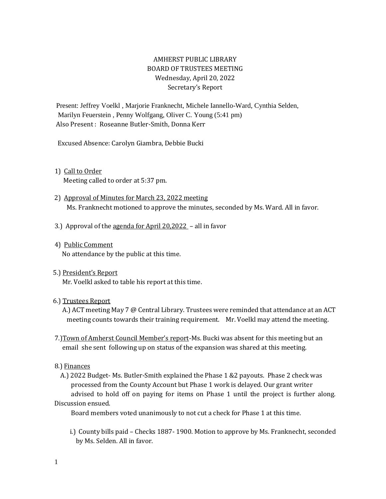# AMHERST PUBLIC LIBRARY BOARD OF TRUSTEES MEETING Wednesday, April 20, 2022 Secretary's Report

Present: Jeffrey Voelkl , Marjorie Franknecht, Michele Iannello-Ward, Cynthia Selden, Marilyn Feuerstein , Penny Wolfgang, Oliver C. Young (5:41 pm) Also Present : Roseanne Butler-Smith, Donna Kerr

Excused Absence: Carolyn Giambra, Debbie Bucki

- 1) Call to Order Meeting called to order at 5:37 pm.
- 2) Approval of Minutes for March 23, 2022 meeting Ms. Franknecht motioned to approve the minutes, seconded by Ms. Ward. All in favor.
- 3.) Approval of the agenda for April 20,2022 all in favor
- 4) Public Comment No attendance by the public at this time.
- 5.) President's Report

Mr. Voelkl asked to table his report at this time.

### 6.) Trustees Report

 A.) ACT meeting May 7 @ Central Library. Trustees were reminded that attendance at an ACT meeting counts towards their training requirement. Mr. Voelkl may attend the meeting.

 7.)Town of Amherst Council Member's report-Ms. Bucki was absent for this meeting but an email she sent following up on status of the expansion was shared at this meeting.

### 8.) Finances

 A.) 2022 Budget- Ms. Butler-Smith explained the Phase 1 &2 payouts. Phase 2 check was processed from the County Account but Phase 1 work is delayed. Our grant writer advised to hold off on paying for items on Phase 1 until the project is further along.

# Discussion ensued.

Board members voted unanimously to not cut a check for Phase 1 at this time.

 i.) County bills paid – Checks 1887- 1900. Motion to approve by Ms. Franknecht, seconded by Ms. Selden. All in favor.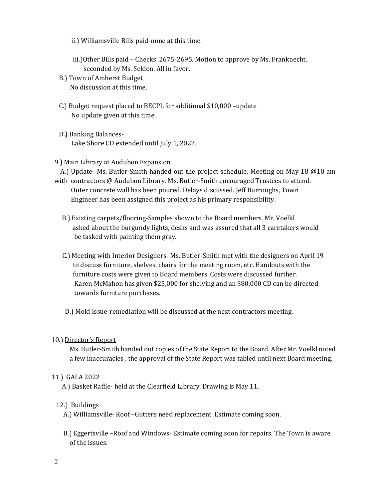- ii.) Williamsville Bills paid-none at this time.
- iii.)Other Bills paid Checks 2675-2695. Motion to approve by Ms. Franknecht, seconded by Ms. Selden. All in favor.
- B.) Town of Amherst Budget No discussion at this time.
- C.) Budget request placed to BECPL for additional \$10,000 –update No update given at this time.
- D.) Banking Balances- Lake Shore CD extended until July 1, 2022.

#### 9.) Main Library at Audubon Expansion

A.) Update- Ms. Butler-Smith handed out the project schedule. Meeting on May 18 @10 am

- with contractors @ Audubon Library. Ms. Butler-Smith encouraged Trustees to attend. Outer concrete wall has been poured. Delays discussed. Jeff Burroughs, Town Engineer has been assigned this project as his primary responsibility.
	- B.) Existing carpets/flooring-Samples shown to the Board members. Mr. Voelkl asked about the burgundy lights, desks and was assured that all 3 caretakers would be tasked with painting them gray.
	- C.) Meeting with Interior Designers- Ms. Butler-Smith met with the designers on April 19 to discuss furniture, shelves, chairs for the meeting room, etc. Handouts with the furniture costs were given to Board members. Costs were discussed further. Karen McMahon has given \$25,000 for shelving and an \$80,000 CD can be directed towards furniture purchases.
	- D.) Mold Issue-remediation will be discussed at the next contractors meeting.

### 10.) Director's Report

 Ms. Butler-Smith handed out copies of the State Report to the Board. After Mr. Voelkl noted a few inaccuracies , the approval of the State Report was tabled until next Board meeting.

### 11.) GALA 2022

A.) Basket Raffle- held at the Clearfield Library. Drawing is May 11.

### 12.) Buildings

A.) Williamsville- Roof –Gutters need replacement. Estimate coming soon.

 B.) Eggertsville –Roof and Windows- Estimate coming soon for repairs. The Town is aware of the issues.